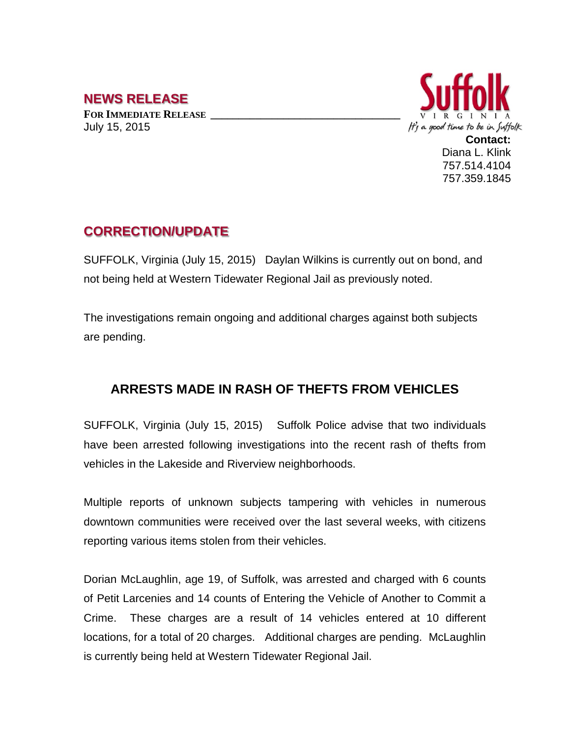## **NEWS RELEASE**

**FOR IMMEDIATE RELEASE \_\_\_\_\_\_\_\_\_\_\_\_\_\_\_\_\_\_\_\_\_\_\_\_\_\_\_\_\_\_\_\_\_\_** July 15, 2015



## **CORRECTION/UPDATE**

SUFFOLK, Virginia (July 15, 2015) Daylan Wilkins is currently out on bond, and not being held at Western Tidewater Regional Jail as previously noted.

The investigations remain ongoing and additional charges against both subjects are pending.

## **ARRESTS MADE IN RASH OF THEFTS FROM VEHICLES**

SUFFOLK, Virginia (July 15, 2015) Suffolk Police advise that two individuals have been arrested following investigations into the recent rash of thefts from vehicles in the Lakeside and Riverview neighborhoods.

Multiple reports of unknown subjects tampering with vehicles in numerous downtown communities were received over the last several weeks, with citizens reporting various items stolen from their vehicles.

Dorian McLaughlin, age 19, of Suffolk, was arrested and charged with 6 counts of Petit Larcenies and 14 counts of Entering the Vehicle of Another to Commit a Crime. These charges are a result of 14 vehicles entered at 10 different locations, for a total of 20 charges. Additional charges are pending. McLaughlin is currently being held at Western Tidewater Regional Jail.